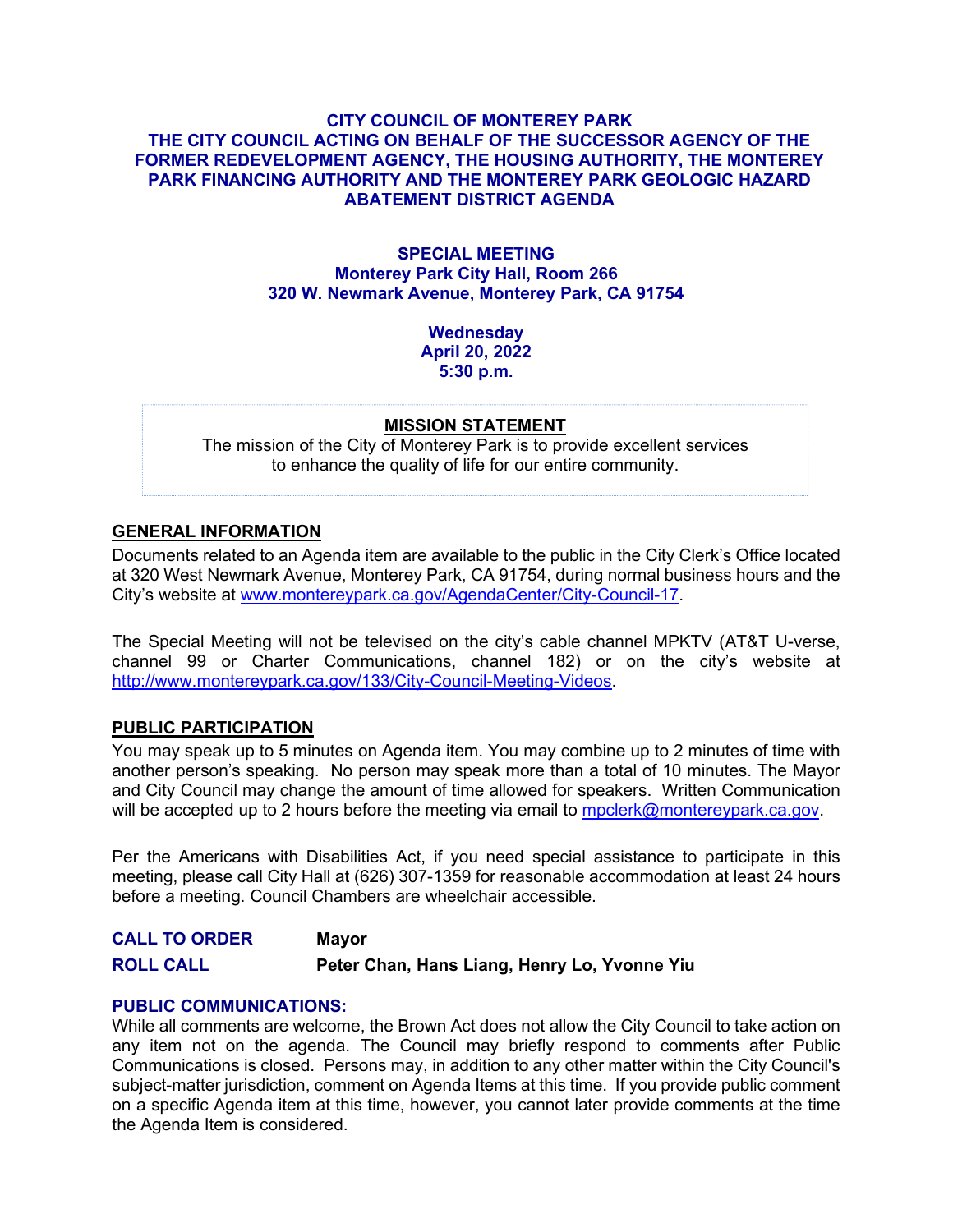# **CITY COUNCIL OF MONTEREY PARK THE CITY COUNCIL ACTING ON BEHALF OF THE SUCCESSOR AGENCY OF THE FORMER REDEVELOPMENT AGENCY, THE HOUSING AUTHORITY, THE MONTEREY PARK FINANCING AUTHORITY AND THE MONTEREY PARK GEOLOGIC HAZARD ABATEMENT DISTRICT AGENDA**

### **SPECIAL MEETING Monterey Park City Hall, Room 266 320 W. Newmark Avenue, Monterey Park, CA 91754**

**Wednesday April 20, 2022 5:30 p.m.**

#### **MISSION STATEMENT**

The mission of the City of Monterey Park is to provide excellent services to enhance the quality of life for our entire community.

# **GENERAL INFORMATION**

Documents related to an Agenda item are available to the public in the City Clerk's Office located at 320 West Newmark Avenue, Monterey Park, CA 91754, during normal business hours and the City's website at [www.montereypark.ca.gov/AgendaCenter/City-Council-17.](http://www.montereypark.ca.gov/AgendaCenter/City-Council-17)

The Special Meeting will not be televised on the city's cable channel MPKTV (AT&T U-verse, channel 99 or Charter Communications, channel 182) or on the city's website at [http://www.montereypark.ca.gov/133/City-Council-Meeting-Videos.](http://www.montereypark.ca.gov/133/City-Council-Meeting-Videos)

#### **PUBLIC PARTICIPATION**

You may speak up to 5 minutes on Agenda item. You may combine up to 2 minutes of time with another person's speaking. No person may speak more than a total of 10 minutes. The Mayor and City Council may change the amount of time allowed for speakers. Written Communication will be accepted up to 2 hours before the meeting via email to [mpclerk@montereypark.ca.gov.](mailto:mpclerk@montereypark.ca.gov)

Per the Americans with Disabilities Act, if you need special assistance to participate in this meeting, please call City Hall at (626) 307-1359 for reasonable accommodation at least 24 hours before a meeting. Council Chambers are wheelchair accessible.

**CALL TO ORDER Mayor ROLL CALL Peter Chan, Hans Liang, Henry Lo, Yvonne Yiu**

#### **PUBLIC COMMUNICATIONS:**

While all comments are welcome, the Brown Act does not allow the City Council to take action on any item not on the agenda. The Council may briefly respond to comments after Public Communications is closed. Persons may, in addition to any other matter within the City Council's subject-matter jurisdiction, comment on Agenda Items at this time. If you provide public comment on a specific Agenda item at this time, however, you cannot later provide comments at the time the Agenda Item is considered.